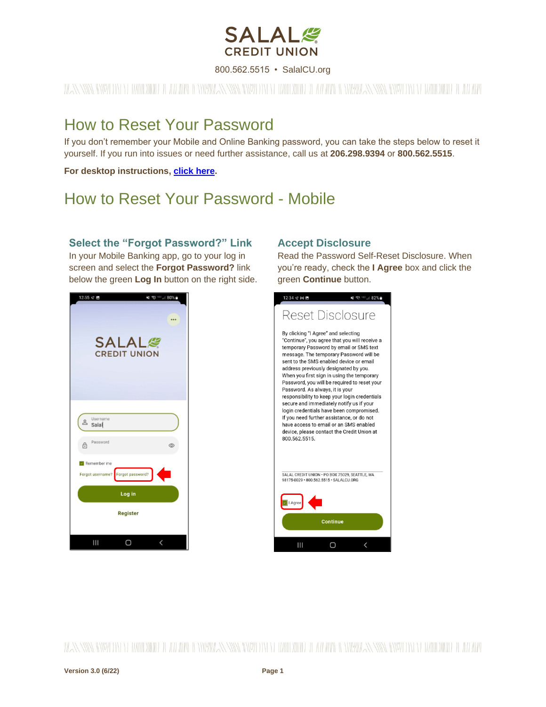

800.562.5515 • SalalCU.org

# WASSERMENT ON THE WILL BE THE WILL BE THE WILL ASSERT TO THE WILL BE THE WILL BE STARTED ON THE WILL BE THE WILL

# How to Reset Your Password

If you don't remember your Mobile and Online Banking password, you can take the steps below to reset it yourself. If you run into issues or need further assistance, call us at **206.298.9394** or **800.562.5515**.

**For desktop instructions, [click here.](#page-3-0)**

# How to Reset Your Password - Mobile

### **Select the "Forgot Password?" Link**

In your Mobile Banking app, go to your log in screen and select the **Forgot Password?** link below the green **Log In** button on the right side.



### **Accept Disclosure**

Read the Password Self-Reset Disclosure. When you're ready, check the **I Agree** box and click the green **Continue** button.



WASSIMATINY IN Y IWIODINI I TALIMATINYWASSIMATINY IN Y IWIODINI I TALIMATINYWASSIMATIVI IN Y IWIODINI I TALIMA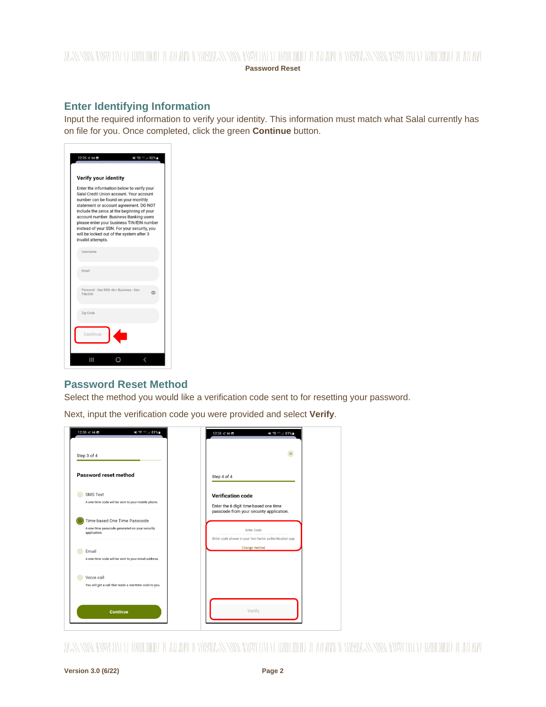### WANNING CHARLEN DIE HELLEN DER HELLEN IN HINDELANDEN GINZU DIE HELLEN DIE HELLEN IN HINDELANDING GINZU DIE HELLEN DIE HELLEN **Password Reset**

### **Enter Identifying Information**

Input the required information to verify your identity. This information must match what Salal currently has on file for you. Once completed, click the green **Continue** button.

|                                                                                                                                                                                                                                                                                                                                                                                                                              | <b>Verify your identity</b>          |   |
|------------------------------------------------------------------------------------------------------------------------------------------------------------------------------------------------------------------------------------------------------------------------------------------------------------------------------------------------------------------------------------------------------------------------------|--------------------------------------|---|
| Enter the information below to verify your<br>Salal Credit Union account. Your account<br>number can be found on your monthly<br>statement or account agreement. DO NOT<br>include the zeros at the beginning of your<br>account number. Business Banking users<br>please enter your business TIN/EIN number<br>instead of your SSN. For your security, you<br>will be locked out of the system after 3<br>invalid attempts. |                                      |   |
| Username                                                                                                                                                                                                                                                                                                                                                                                                                     |                                      |   |
| Email                                                                                                                                                                                                                                                                                                                                                                                                                        |                                      |   |
|                                                                                                                                                                                                                                                                                                                                                                                                                              | Personal - Use SSN<br>Business - Use | ග |
| TIN/EIN                                                                                                                                                                                                                                                                                                                                                                                                                      |                                      |   |
| Zip Code                                                                                                                                                                                                                                                                                                                                                                                                                     |                                      |   |

### **Password Reset Method**

Select the method you would like a verification code sent to for resetting your password.

Next, input the verification code you were provided and select **Verify**.

| Password reset method                                                                          | Step 4 of 4                                                                                                   |
|------------------------------------------------------------------------------------------------|---------------------------------------------------------------------------------------------------------------|
| <b>SMS Text</b><br>A one-time code will be sent to your mobile phone.                          | <b>Verification code</b><br>Enter the 6 digit time-based one time<br>passcode from your security application. |
| Time-based One Time Passcode<br>A one-time passcode generated on your security<br>application. | Enter Code<br>Enter code shown in your two-factor authentication app                                          |
| Email<br>A one-time code will be sent to your email address.                                   | Change method                                                                                                 |
| Voice call<br>You will get a call that reads a one-time code to you.                           |                                                                                                               |

WANNING TOWN TO THE WILLOW HE LEVEL TO THE WARD ON THE WILLOW WILLOW TO THE WILLOW TO THE WILLOW TO THE WILLOW WILLOW TO THE WILLOW TO THE TELL THAT THE THE WILLOW TO THE TELL THAT THE TELL THAT THE TELL THAT THE TELL THAT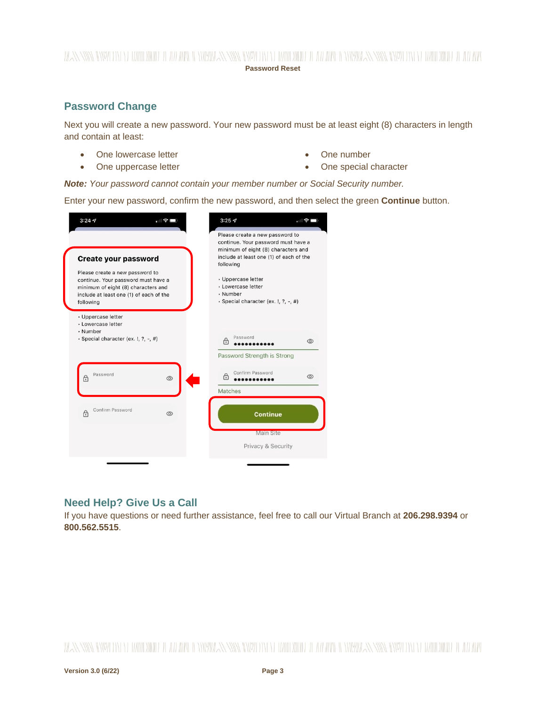### WANNING CHARLEN DIE HELLEN DER HELLEN IN HINDELANDEN GINZU DIE HELLEN DIE HELLEN IN HINDELANDING GINZU DIE HELLEN DIE HELLEN **Password Reset**

## **Password Change**

Next you will create a new password. Your new password must be at least eight (8) characters in length and contain at least:

- One lowercase letter
- One uppercase letter
- One number
- One special character

*Note: Your password cannot contain your member number or Social Security number.*

Enter your new password, confirm the new password, and then select the green **Continue** button.

| <b>Create your password</b><br>Please create a new password to<br>continue. Your password must have a<br>minimum of eight (8) characters and<br>include at least one (1) of each of the<br>following | Please create a new password to<br>continue. Your password must have a<br>minimum of eight (8) characters and<br>include at least one (1) of each of the<br>following<br>· Uppercase letter<br>· Lowercase letter<br>· Number<br>· Special character (ex. !, ?, -, #) |
|------------------------------------------------------------------------------------------------------------------------------------------------------------------------------------------------------|-----------------------------------------------------------------------------------------------------------------------------------------------------------------------------------------------------------------------------------------------------------------------|
| · Uppercase letter<br>· Lowercase letter<br>· Number<br>· Special character (ex. !, ?, -, #)                                                                                                         | Password<br>சி<br>$\circledcirc$                                                                                                                                                                                                                                      |
| Password<br>۴<br>$\circledcirc$                                                                                                                                                                      | Password Strength is Strong<br>Confirm Password<br>A<br>$\circledcirc$                                                                                                                                                                                                |
|                                                                                                                                                                                                      | Matches<br>Continue                                                                                                                                                                                                                                                   |
| Confirm Password<br>A<br>$^{\circ}$                                                                                                                                                                  |                                                                                                                                                                                                                                                                       |

## **Need Help? Give Us a Call**

If you have questions or need further assistance, feel free to call our Virtual Branch at **206.298.9394** or **800.562.5515**.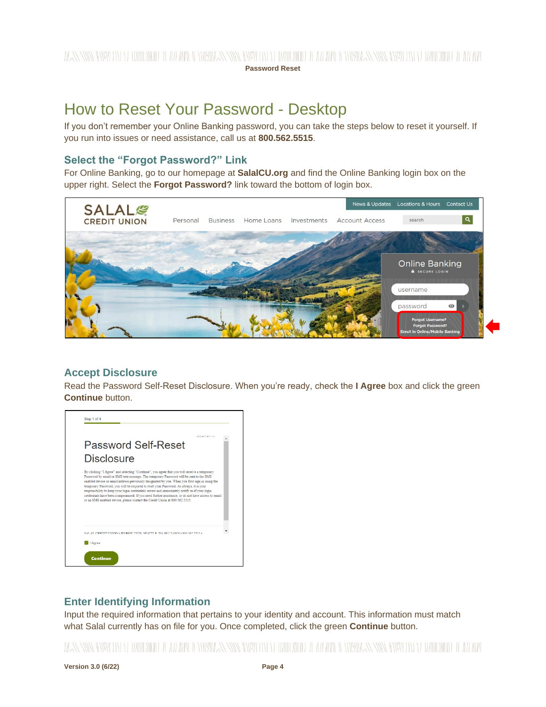# <span id="page-3-0"></span>How to Reset Your Password - Desktop

If you don't remember your Online Banking password, you can take the steps below to reset it yourself. If you run into issues or need assistance, call us at **800.562.5515**.

### **Select the "Forgot Password?" Link**

For Online Banking, go to our homepage at **SalalCU.org** and find the Online Banking login box on the upper right. Select the **Forgot Password?** link toward the bottom of login box.



### **Accept Disclosure**

Read the Password Self-Reset Disclosure. When you're ready, check the **I Agree** box and click the green **Continue** button.



## **Enter Identifying Information**

Input the required information that pertains to your identity and account. This information must match what Salal currently has on file for you. Once completed, click the green **Continue** button.

## WANNING INVERTING WITH THE WITH A WINDOW AND INDEPENDENCE IN THE WITH THE WITH AN ANYWAY NING INVERTING WITH THE ALL WAND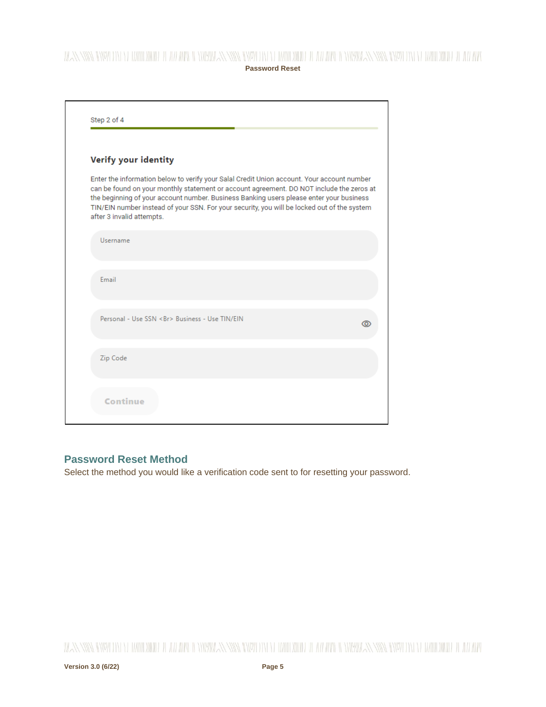## WANNING CHARLEN DI WATER WELL AND THE CHARLEN SENIOR CHARLEN WITH A WATER OF THE WARDER WITH NEW YORK CHARLEN WITH A WARD OF THE WITH **Password Reset**

| Verify your identity                                                                                                                                                                                                                                                                                                                                                                                          |
|---------------------------------------------------------------------------------------------------------------------------------------------------------------------------------------------------------------------------------------------------------------------------------------------------------------------------------------------------------------------------------------------------------------|
| Enter the information below to verify your Salal Credit Union account. Your account number<br>can be found on your monthly statement or account agreement. DO NOT include the zeros at<br>the beginning of your account number. Business Banking users please enter your business<br>TIN/EIN number instead of your SSN. For your security, you will be locked out of the system<br>after 3 invalid attempts. |
| Username                                                                                                                                                                                                                                                                                                                                                                                                      |
| Email                                                                                                                                                                                                                                                                                                                                                                                                         |
| Personal - Use SSN<br>Business - Use TIN/EIN                                                                                                                                                                                                                                                                                                                                                                  |
| Zip Code                                                                                                                                                                                                                                                                                                                                                                                                      |

# **Password Reset Method**

Select the method you would like a verification code sent to for resetting your password.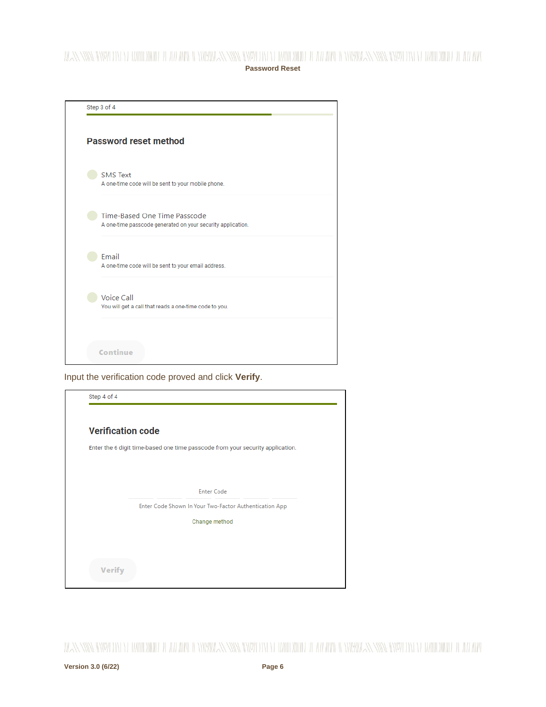## WANNING DIVIDIN YERHIRDININ DEAN HALIN'IN DINIYINAN YAYA DIYED DINED DINIDI A AN ARA DINIYINAN NIWA DIYEYO DIYED DI ANI ARA **Password Reset**



Input the verification code proved and click **Verify**.

| Enter the 6 digit time-based one time passcode from your security application. |
|--------------------------------------------------------------------------------|
|                                                                                |
|                                                                                |
| <b>Enter Code</b>                                                              |
| Enter Code Shown In Your Two-Factor Authentication App                         |
| Change method                                                                  |
|                                                                                |
|                                                                                |
|                                                                                |

WANNING INVERSION OF HALLOWIDE IL AN APOLI ONIVATAN INVERSION OF HALLOWIDE IL AN ARCHEOLOGICAN SING INVERSION ON DE ANNO WIDE IL AN ARC